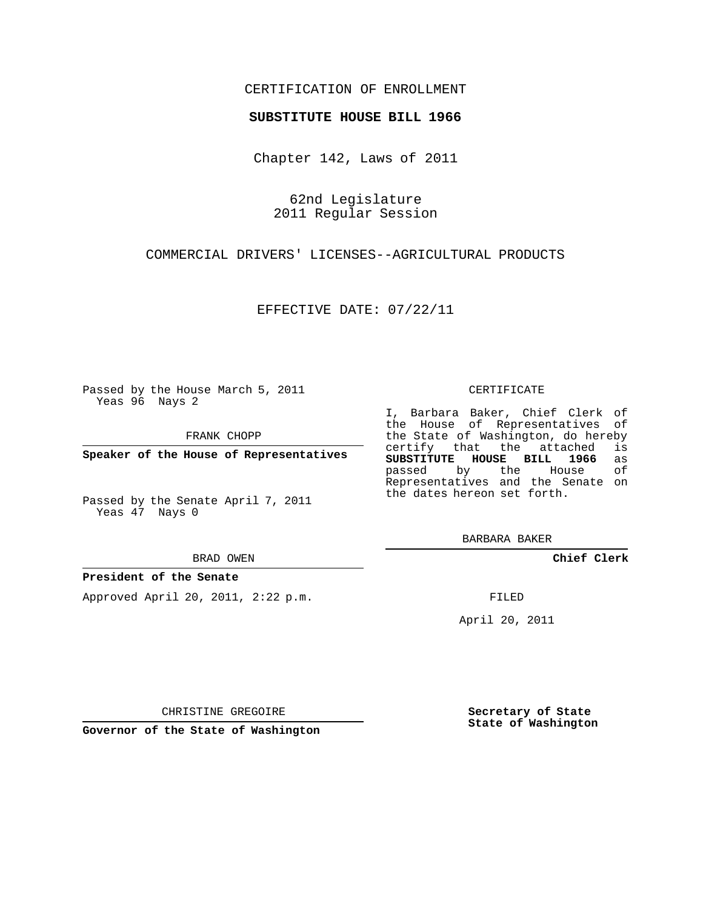# CERTIFICATION OF ENROLLMENT

### **SUBSTITUTE HOUSE BILL 1966**

Chapter 142, Laws of 2011

62nd Legislature 2011 Regular Session

COMMERCIAL DRIVERS' LICENSES--AGRICULTURAL PRODUCTS

EFFECTIVE DATE: 07/22/11

Passed by the House March 5, 2011 Yeas 96 Nays 2

FRANK CHOPP

**Speaker of the House of Representatives**

Passed by the Senate April 7, 2011 Yeas 47 Nays 0

#### BRAD OWEN

## **President of the Senate**

Approved April 20, 2011, 2:22 p.m.

#### CERTIFICATE

I, Barbara Baker, Chief Clerk of the House of Representatives of the State of Washington, do hereby<br>certify that the attached is certify that the attached **SUBSTITUTE HOUSE BILL 1966** as passed by the House Representatives and the Senate on the dates hereon set forth.

BARBARA BAKER

**Chief Clerk**

FILED

April 20, 2011

CHRISTINE GREGOIRE

**Governor of the State of Washington**

**Secretary of State State of Washington**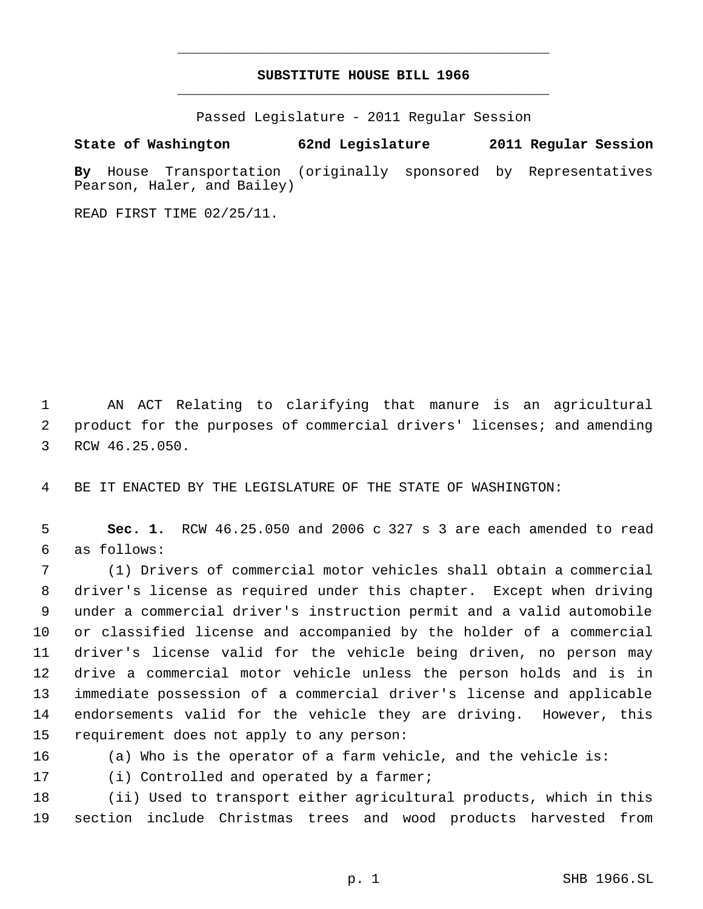# **SUBSTITUTE HOUSE BILL 1966** \_\_\_\_\_\_\_\_\_\_\_\_\_\_\_\_\_\_\_\_\_\_\_\_\_\_\_\_\_\_\_\_\_\_\_\_\_\_\_\_\_\_\_\_\_

\_\_\_\_\_\_\_\_\_\_\_\_\_\_\_\_\_\_\_\_\_\_\_\_\_\_\_\_\_\_\_\_\_\_\_\_\_\_\_\_\_\_\_\_\_

Passed Legislature - 2011 Regular Session

# **State of Washington 62nd Legislature 2011 Regular Session**

**By** House Transportation (originally sponsored by Representatives Pearson, Haler, and Bailey)

READ FIRST TIME 02/25/11.

 AN ACT Relating to clarifying that manure is an agricultural product for the purposes of commercial drivers' licenses; and amending RCW 46.25.050.

BE IT ENACTED BY THE LEGISLATURE OF THE STATE OF WASHINGTON:

 **Sec. 1.** RCW 46.25.050 and 2006 c 327 s 3 are each amended to read as follows:

 (1) Drivers of commercial motor vehicles shall obtain a commercial driver's license as required under this chapter. Except when driving under a commercial driver's instruction permit and a valid automobile or classified license and accompanied by the holder of a commercial driver's license valid for the vehicle being driven, no person may drive a commercial motor vehicle unless the person holds and is in immediate possession of a commercial driver's license and applicable endorsements valid for the vehicle they are driving. However, this requirement does not apply to any person:

(a) Who is the operator of a farm vehicle, and the vehicle is:

17 (i) Controlled and operated by a farmer;

 (ii) Used to transport either agricultural products, which in this section include Christmas trees and wood products harvested from